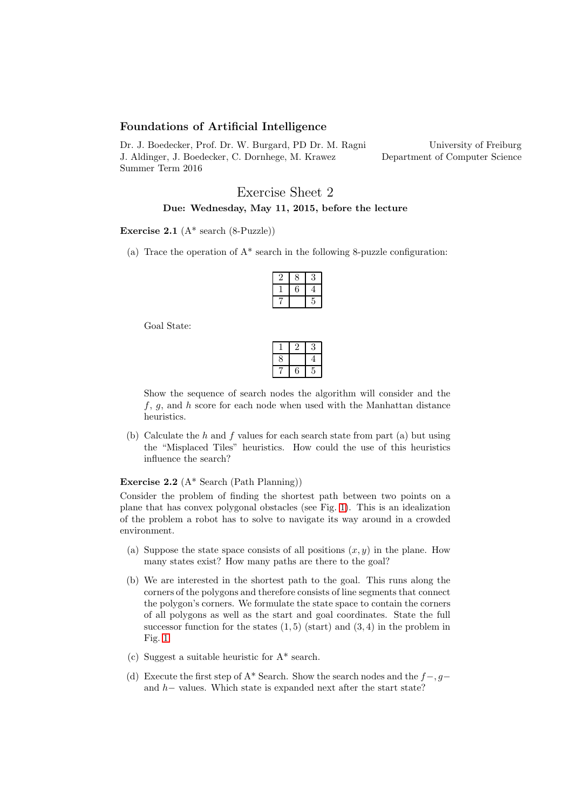## Foundations of Artificial Intelligence

Dr. J. Boedecker, Prof. Dr. W. Burgard, PD Dr. M. Ragni J. Aldinger, J. Boedecker, C. Dornhege, M. Krawez Summer Term 2016 University of Freiburg Department of Computer Science

# Exercise Sheet 2 Due: Wednesday, May 11, 2015, before the lecture

#### Exercise 2.1  $(A^*$  search  $(8$ -Puzzle))

(a) Trace the operation of  $A^*$  search in the following 8-puzzle configuration:

Goal State:

| ٦ |   |  |
|---|---|--|
|   | ٠ |  |

Show the sequence of search nodes the algorithm will consider and the  $f, g$ , and h score for each node when used with the Manhattan distance heuristics.

(b) Calculate the  $h$  and  $f$  values for each search state from part (a) but using the "Misplaced Tiles" heuristics. How could the use of this heuristics influence the search?

### Exercise 2.2 (A\* Search (Path Planning))

Consider the problem of finding the shortest path between two points on a plane that has convex polygonal obstacles (see Fig. [1\)](#page-1-0). This is an idealization of the problem a robot has to solve to navigate its way around in a crowded environment.

- (a) Suppose the state space consists of all positions  $(x, y)$  in the plane. How many states exist? How many paths are there to the goal?
- (b) We are interested in the shortest path to the goal. This runs along the corners of the polygons and therefore consists of line segments that connect the polygon's corners. We formulate the state space to contain the corners of all polygons as well as the start and goal coordinates. State the full successor function for the states  $(1, 5)$  (start) and  $(3, 4)$  in the problem in Fig. [1.](#page-1-0)
- (c) Suggest a suitable heuristic for A\* search.
- (d) Execute the first step of A\* Search. Show the search nodes and the  $f-, g$ and h− values. Which state is expanded next after the start state?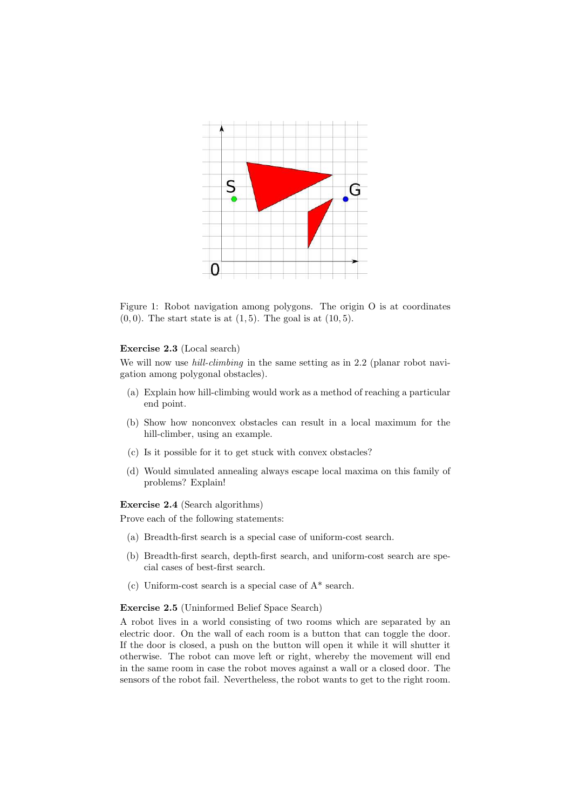

<span id="page-1-0"></span>Figure 1: Robot navigation among polygons. The origin O is at coordinates  $(0, 0)$ . The start state is at  $(1, 5)$ . The goal is at  $(10, 5)$ .

#### Exercise 2.3 (Local search)

We will now use *hill-climbing* in the same setting as in 2.2 (planar robot navigation among polygonal obstacles).

- (a) Explain how hill-climbing would work as a method of reaching a particular end point.
- (b) Show how nonconvex obstacles can result in a local maximum for the hill-climber, using an example.
- (c) Is it possible for it to get stuck with convex obstacles?
- (d) Would simulated annealing always escape local maxima on this family of problems? Explain!

Exercise 2.4 (Search algorithms)

Prove each of the following statements:

- (a) Breadth-first search is a special case of uniform-cost search.
- (b) Breadth-first search, depth-first search, and uniform-cost search are special cases of best-first search.
- (c) Uniform-cost search is a special case of A\* search.

### Exercise 2.5 (Uninformed Belief Space Search)

A robot lives in a world consisting of two rooms which are separated by an electric door. On the wall of each room is a button that can toggle the door. If the door is closed, a push on the button will open it while it will shutter it otherwise. The robot can move left or right, whereby the movement will end in the same room in case the robot moves against a wall or a closed door. The sensors of the robot fail. Nevertheless, the robot wants to get to the right room.